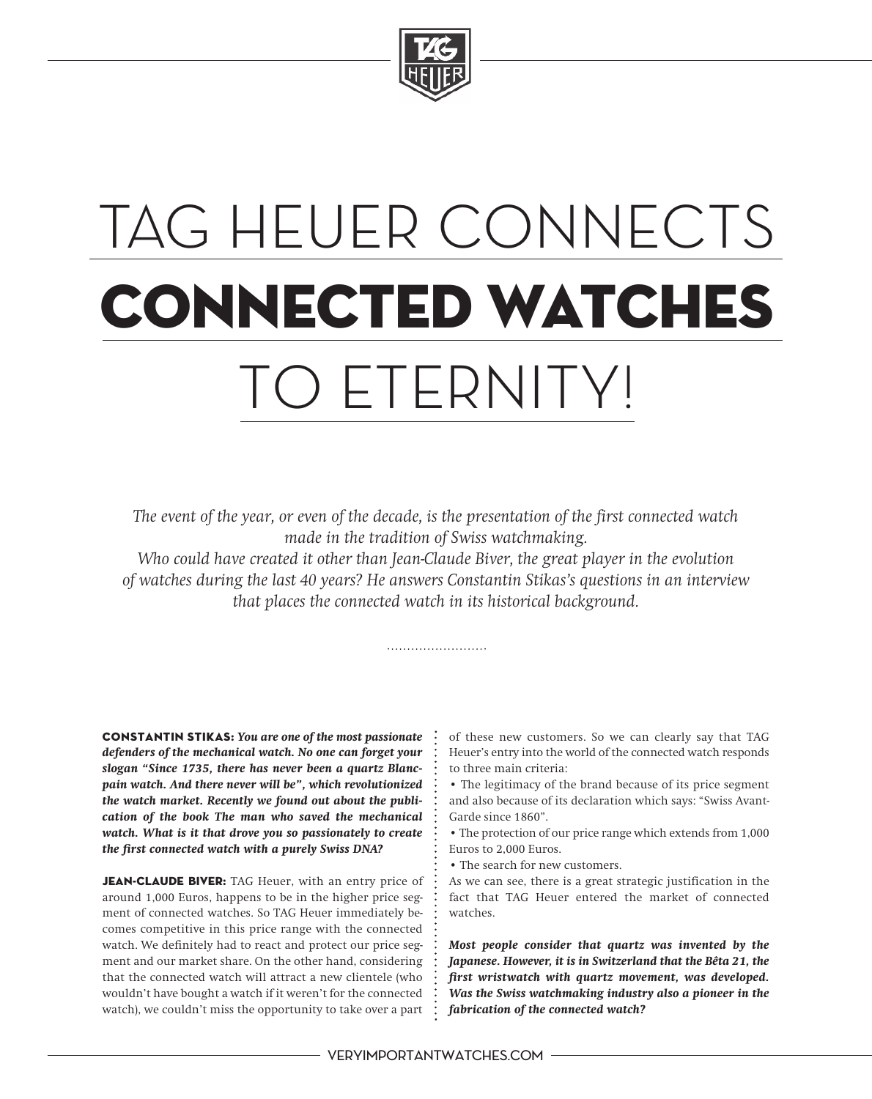

# TAG HEUER CONNECTS **connected watches** TO ETERNITY!

*The event of the year, or even of the decade, is the presentation of the first connected watch made in the tradition of Swiss watchmaking.*

*Who could have created it other than Jean-Claude Biver, the great player in the evolution of watches during the last 40 years? He answers Constantin Stikas's questions in an interview that places the connected watch in its historical background.*

**Constantin Stikas:** *You are one of the most passionate defenders of the mechanical watch. No one can forget your slogan "Since 1735, there has never been a quartz Blancpain watch. And there never will be", which revolutionized the watch market. Recently we found out about the publication of the book The man who saved the mechanical watch. What is it that drove you so passionately to create the first connected watch with a purely Swiss DNA?*

**Jean-Claude Biver:** TAG Heuer, with an entry price of around 1,000 Euros, happens to be in the higher price segment of connected watches. So TAG Heuer immediately becomes competitive in this price range with the connected watch. We definitely had to react and protect our price segment and our market share. On the other hand, considering that the connected watch will attract a new clientele (who wouldn't have bought a watch if it weren't for the connected watch), we couldn't miss the opportunity to take over a part

of these new customers. So we can clearly say that TAG Heuer's entry into the world of the connected watch responds to three main criteria:

• The legitimacy of the brand because of its price segment and also because of its declaration which says: "Swiss Avant-Garde since 1860".

• The protection of our price range which extends from 1,000 Euros to 2,000 Euros.

• The search for new customers.

As we can see, there is a great strategic justification in the fact that TAG Heuer entered the market of connected watches.

*Most people consider that quartz was invented by the Japanese. However, it is in Switzerland that the Bêta 21, the first wristwatch with quartz movement, was developed. Was the Swiss watchmaking industry also a pioneer in the fabrication of the connected watch?*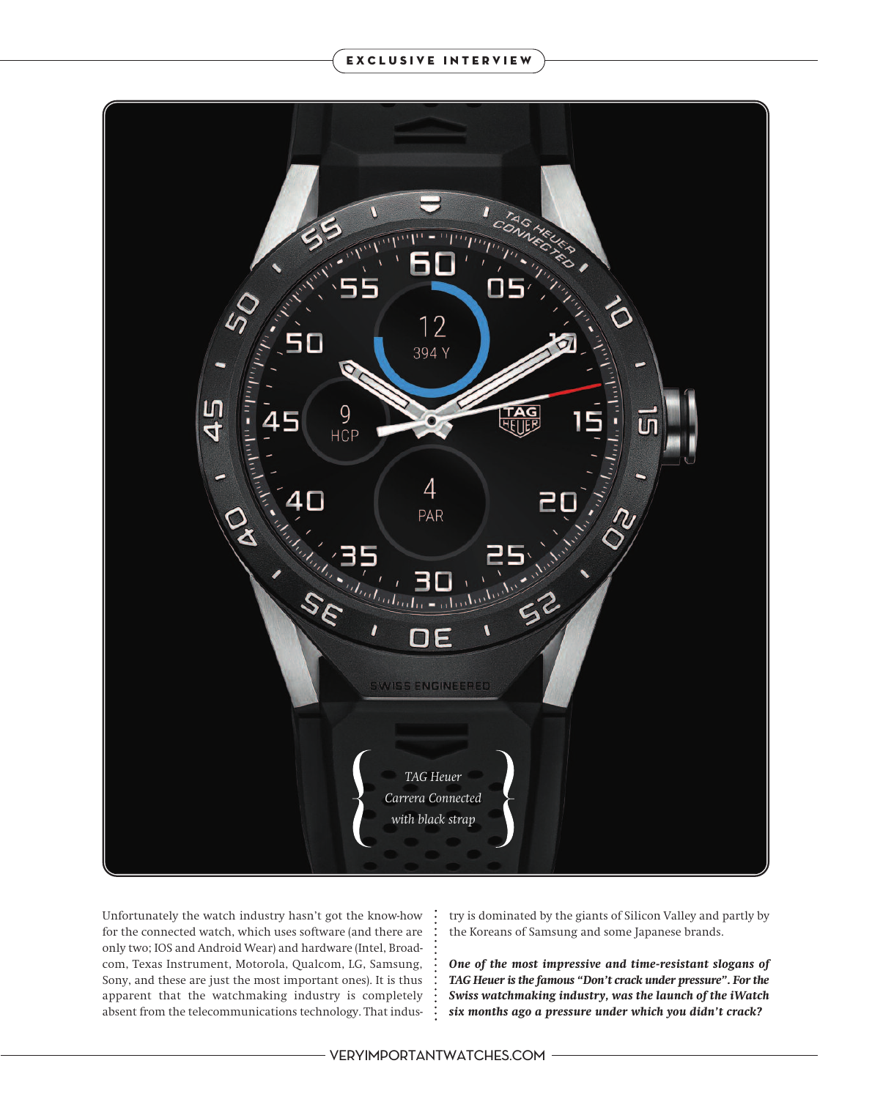

Unfortunately the watch industry hasn't got the know-how for the connected watch, which uses software (and there are only two; IOS and Android Wear) and hardware (Intel, Broadcom, Texas Instrument, Motorola, Qualcom, LG, Samsung, Sony, and these are just the most important ones). It is thus apparent that the watchmaking industry is completely absent from the telecommunications technology. That industry is dominated by the giants of Silicon Valley and partly by the Koreans of Samsung and some Japanese brands.

*One of the most impressive and time-resistant slogans of TAG Heuer is the famous "Don't crack under pressure". For the Swiss watchmaking industry, was the launch of the iWatch six months ago a pressure under which you didn't crack?*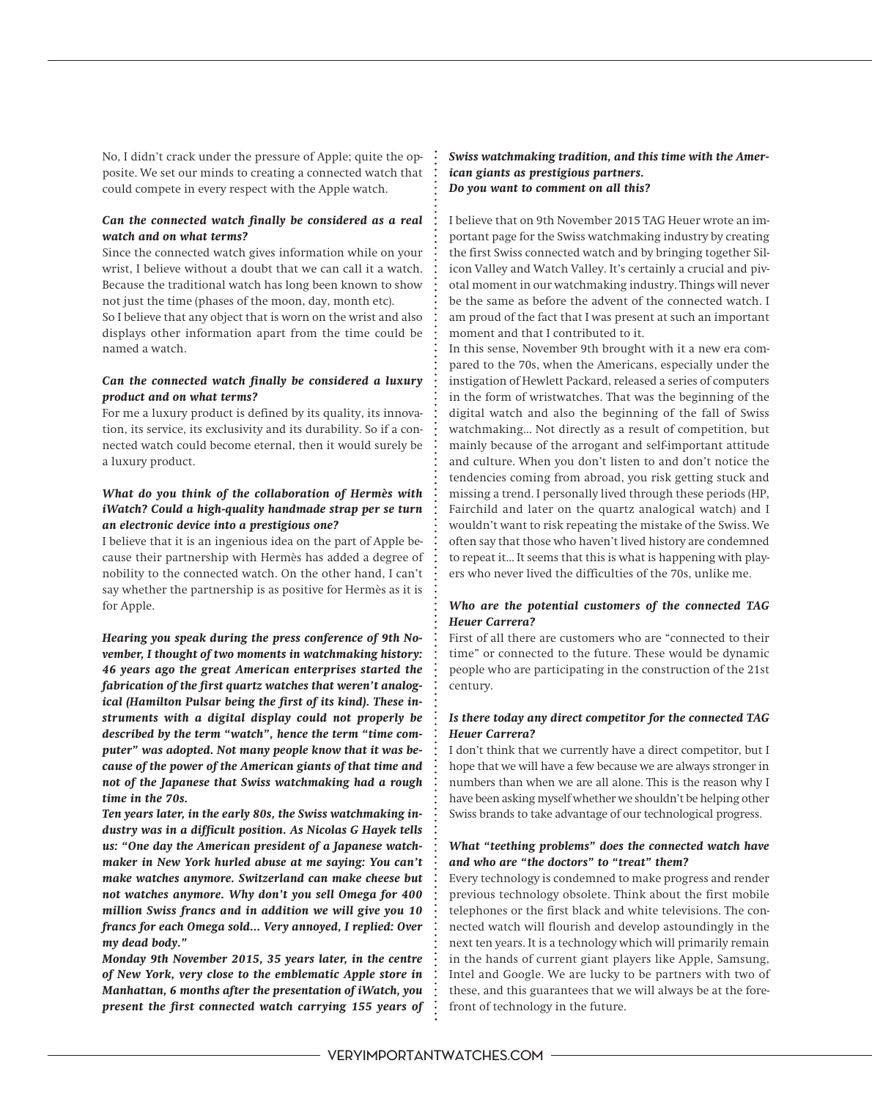No, I didn't crack under the pressure of Apple; quite the opposite. We set our minds to creating a connected watch that could compete in every respect with the Apple watch.

# *Can the connected watch finally be considered as a real watch and on what terms?*

Since the connected watch gives information while on your wrist, I believe without a doubt that we can call it a watch. Because the traditional watch has long been known to show not just the time (phases of the moon, day, month etc).

So I believe that any object that is worn on the wrist and also displays other information apart from the time could be named a watch.

# *Can the connected watch finally be considered a luxury product and on what terms?*

For me a luxury product is defined by its quality, its innovation, its service, its exclusivity and its durability. So if a connected watch could become eternal, then it would surely be a luxury product.

### *What do you think of the collaboration of Hermès with iWatch? Could a high-quality handmade strap per se turn an electronic device into a prestigious one?*

I believe that it is an ingenious idea on the part of Apple because their partnership with Hermès has added a degree of nobility to the connected watch. On the other hand, I can't say whether the partnership is as positive for Hermès as it is for Apple.

*Hearing you speak during the press conference of 9th November, I thought of two moments in watchmaking history: 46 years ago the great American enterprises started the fabrication of the first quartz watches that weren't analogical (Hamilton Pulsar being the first of its kind). These instruments with a digital display could not properly be described by the term "watch", hence the term "time computer" was adopted. Not many people know that it was because of the power of the American giants of that time and not of the Japanese that Swiss watchmaking had a rough time in the 70s.*

*Ten years later, in the early 80s, the Swiss watchmaking industry was in a difficult position. As Nicolas G Hayek tells us: "One day the American president of a Japanese watchmaker in New York hurled abuse at me saying: You can't make watches anymore. Switzerland can make cheese but not watches anymore. Why don't you sell Omega for 400 million Swiss francs and in addition we will give you 10 francs for each Omega sold... Very annoyed, I replied: Over my dead body."*

*Monday 9th November 2015, 35 years later, in the centre of New York, very close to the emblematic Apple store in Manhattan, 6 months after the presentation of iWatch, you present the first connected watch carrying 155 years of*

## *Swiss watchmaking tradition, and this time with the American giants as prestigious partners. Do you want to comment on all this?*

I believe that on 9th November 2015 TAG Heuer wrote an important page for the Swiss watchmaking industry by creating the first Swiss connected watch and by bringing together Silicon Valley and Watch Valley. It's certainly a crucial and pivotal moment in our watchmaking industry. Things will never be the same as before the advent of the connected watch. I am proud of the fact that I was present at such an important moment and that I contributed to it.

In this sense, November 9th brought with it a new era compared to the 70s, when the Americans, especially under the instigation of Hewlett Packard, released a series of computers in the form of wristwatches. That was the beginning of the digital watch and also the beginning of the fall of Swiss watchmaking... Not directly as a result of competition, but mainly because of the arrogant and self-important attitude and culture. When you don't listen to and don't notice the tendencies coming from abroad, you risk getting stuck and missing a trend. I personally lived through these periods (HP, Fairchild and later on the quartz analogical watch) and I wouldn't want to risk repeating the mistake of the Swiss. We often say that those who haven't lived history are condemned to repeat it… It seems that this is what is happening with players who never lived the difficulties of the 70s, unlike me.

# *Who are the potential customers of the connected TAG Heuer Carrera?*

First of all there are customers who are "connected to their time" or connected to the future. These would be dynamic people who are participating in the construction of the 21st century.

## *Is there today any direct competitor for the connected TAG Heuer Carrera?*

I don't think that we currently have a direct competitor, but I hope that we will have a few because we are always stronger in numbers than when we are all alone. This is the reason why I have been asking myself whether we shouldn't be helping other Swiss brands to take advantage of our technological progress.

### *What "teething problems" does the connected watch have and who are "the doctors" to "treat" them?*

Every technology is condemned to make progress and render previous technology obsolete. Think about the first mobile telephones or the first black and white televisions. The connected watch will flourish and develop astoundingly in the next ten years. It is a technology which will primarily remain in the hands of current giant players like Apple, Samsung, Intel and Google. We are lucky to be partners with two of these, and this guarantees that we will always be at the forefront of technology in the future.